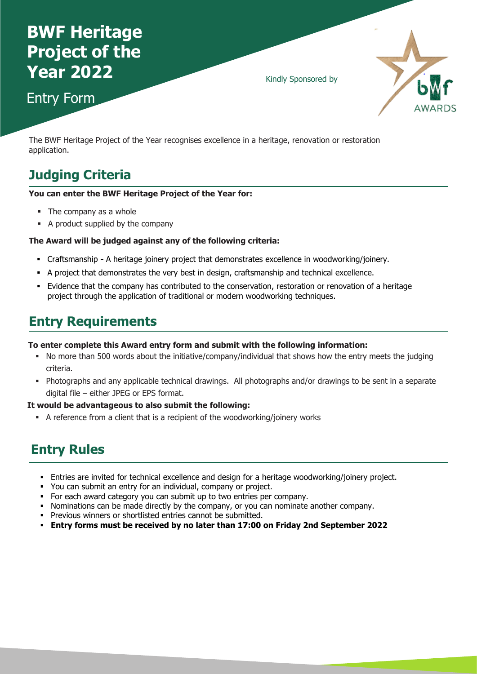# **BWF Heritage Project of the Year 2022**

Entry Form

Kindly Sponsored by



The BWF Heritage Project of the Year recognises excellence in a heritage, renovation or restoration application.

# **Judging Criteria**

#### **You can enter the BWF Heritage Project of the Year for:**

- The company as a whole
- A product supplied by the company

#### **The Award will be judged against any of the following criteria:**

- CraftsmanshipA heritage joinery project that demonstrates excellence in woodworking/joinery.
- A project that demonstrates the very best in design, craftsmanship and technical excellence.
- Evidence that the company has contributed to the conservation, restoration or renovation of a heritage project through the application of traditional or modern woodworking techniques.

## **Entry Requirements**

#### **To enter complete this Award entry form and submit with the following information:**

- No more than 500 words about the initiative/company/individual that shows how the entry meets the judging criteria.
- Photographs and any applicable technical drawings. All photographs and/or drawings to be sent in a separate digital file – either JPEG or EPS format.

#### **It would be advantageous to also submit the following:**

A reference from a client that is a recipient of the woodworking/joinery works

# **Entry Rules**

- Entries are invited for technical excellence and design for a heritage woodworking/joinery project.
- You can submit an entry for an individual, company or project.
- For each award category you can submit up to two entries per company.
- Nominations can be made directly by the company, or you can nominate another company.
- Previous winners or shortlisted entries cannot be submitted.
- **Entry forms must be received by no later than 17:00 on Friday 2nd September 2022**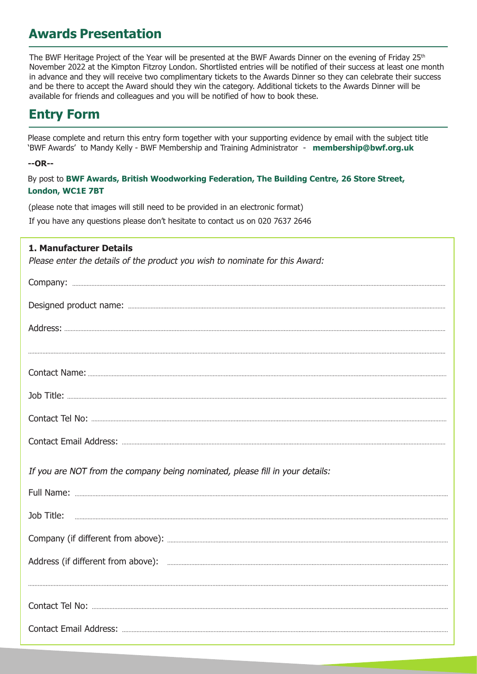## **Awards Presentation**

The BWF Heritage Project of the Year will be presented at the BWF Awards Dinner on the evening of Friday 25th November 2022 at the Kimpton Fitzroy London. Shortlisted entries will be notified of their success at least one month in advance and they will receive two complimentary tickets to the Awards Dinner so they can celebrate their success and be there to accept the Award should they win the category. Additional tickets to the Awards Dinner will be available for friends and colleagues and you will be notified of how to book these.

# **Entry Form**

Please complete and return this entry form together with your supporting evidence by email with the subject title 'BWF Awards' to Mandy Kelly - BWF Membership and Training Administrator - **membership@bwf.org.uk**

#### **--OR--**

By post to **BWF Awards, British Woodworking Federation, The Building Centre, 26 Store Street, London, WC1E 7BT** 

(please note that images will still need to be provided in an electronic format) If you have any questions please don't hesitate to contact us on 020 7637 2646

### **1. Manufacturer Details**

Please enter the details of the product you wish to nominate for this Award:

| If you are NOT from the company being nominated, please fill in your details: |
|-------------------------------------------------------------------------------|
|                                                                               |
|                                                                               |
|                                                                               |
|                                                                               |
|                                                                               |
|                                                                               |